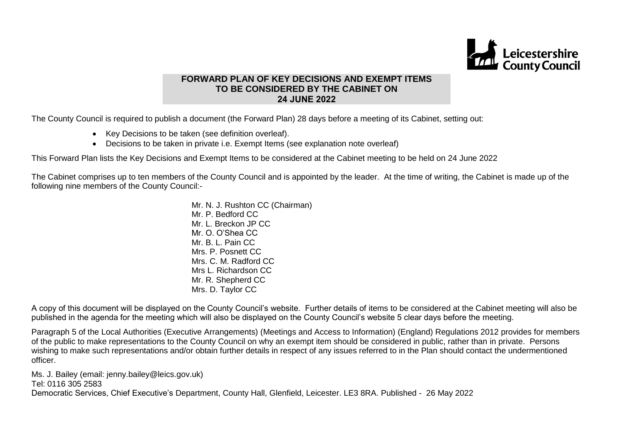

# **FORWARD PLAN OF KEY DECISIONS AND EXEMPT ITEMS TO BE CONSIDERED BY THE CABINET ON 24 JUNE 2022**

The County Council is required to publish a document (the Forward Plan) 28 days before a meeting of its Cabinet, setting out:

- Key Decisions to be taken (see definition overleaf).
- Decisions to be taken in private i.e. Exempt Items (see explanation note overleaf)

This Forward Plan lists the Key Decisions and Exempt Items to be considered at the Cabinet meeting to be held on 24 June 2022

The Cabinet comprises up to ten members of the County Council and is appointed by the leader. At the time of writing, the Cabinet is made up of the following nine members of the County Council:-

> Mr. N. J. Rushton CC (Chairman) Mr. P. Bedford CC. Mr. L. Breckon JP CC Mr. O. O'Shea CC Mr. B. L. Pain CC Mrs. P. Posnett CC Mrs. C. M. Radford CC Mrs L. Richardson CC Mr. R. Shepherd CC Mrs. D. Taylor CC

A copy of this document will be displayed on the County Council's website. Further details of items to be considered at the Cabinet meeting will also be published in the agenda for the meeting which will also be displayed on the County Council's website 5 clear days before the meeting.

Paragraph 5 of the Local Authorities (Executive Arrangements) (Meetings and Access to Information) (England) Regulations 2012 provides for members of the public to make representations to the County Council on why an exempt item should be considered in public, rather than in private. Persons wishing to make such representations and/or obtain further details in respect of any issues referred to in the Plan should contact the undermentioned officer.

Ms. J. Bailey (email: jenny.bailey@leics.gov.uk) Tel: 0116 305 2583 Democratic Services, Chief Executive's Department, County Hall, Glenfield, Leicester. LE3 8RA. Published - 26 May 2022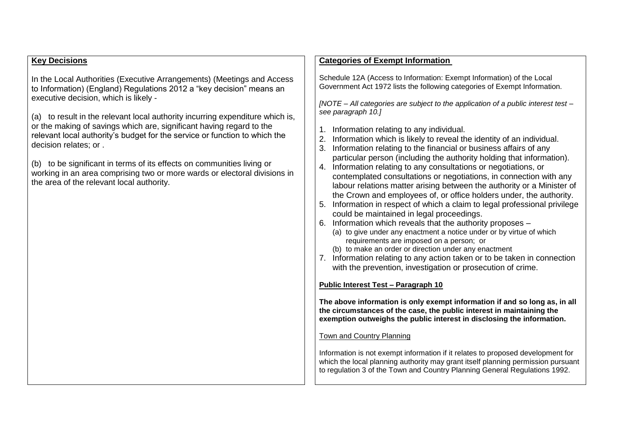# **Key Decisions**

In the Local Authorities (Executive Arrangements) (Meetings and Access to Information) (England) Regulations 2012 a "key decision" means an executive decision, which is likely -

(a) to result in the relevant local authority incurring expenditure which is, or the making of savings which are, significant having regard to the relevant local authority's budget for the service or function to which the decision relates; or .

(b) to be significant in terms of its effects on communities living or working in an area comprising two or more wards or electoral divisions in the area of the relevant local authority.

# **Categories of Exempt Information**

Schedule 12A (Access to Information: Exempt Information) of the Local Government Act 1972 lists the following categories of Exempt Information.

*[NOTE – All categories are subject to the application of a public interest test – see paragraph 10.]*

- 1. Information relating to any individual.
- 2. Information which is likely to reveal the identity of an individual.
- 3. Information relating to the financial or business affairs of any particular person (including the authority holding that information).
- 4. Information relating to any consultations or negotiations, or contemplated consultations or negotiations, in connection with any labour relations matter arising between the authority or a Minister of the Crown and employees of, or office holders under, the authority.
- 5. Information in respect of which a claim to legal professional privilege could be maintained in legal proceedings.
- 6. Information which reveals that the authority proposes
	- (a) to give under any enactment a notice under or by virtue of which requirements are imposed on a person; or
	- (b) to make an order or direction under any enactment
- 7. Information relating to any action taken or to be taken in connection with the prevention, investigation or prosecution of crime.

### **Public Interest Test – Paragraph 10**

**The above information is only exempt information if and so long as, in all the circumstances of the case, the public interest in maintaining the exemption outweighs the public interest in disclosing the information.**

### Town and Country Planning

Information is not exempt information if it relates to proposed development for which the local planning authority may grant itself planning permission pursuant to regulation 3 of the Town and Country Planning General Regulations 1992.